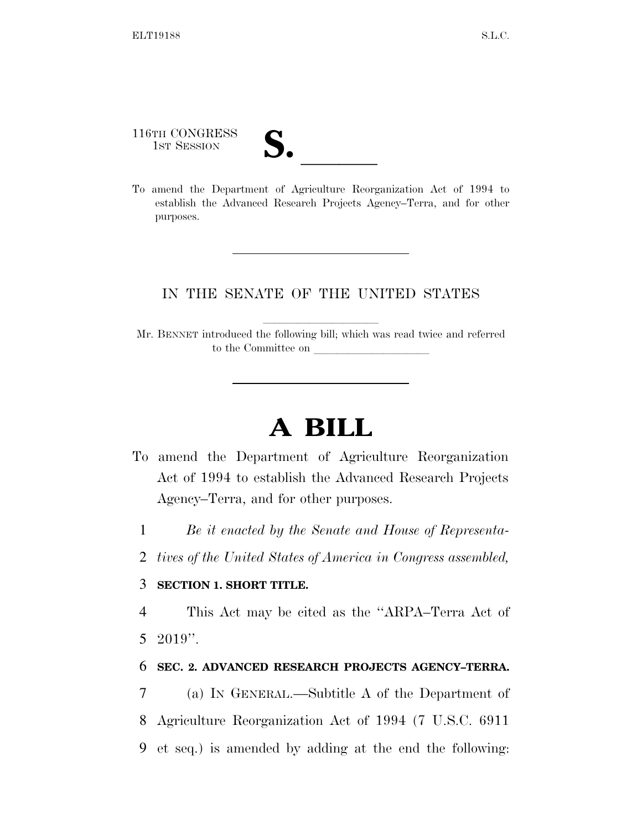116TH CONGRESS

116TH CONGRESS<br>
1ST SESSION<br>
To amend the Department of Agriculture Reorganization Act of 1994 to establish the Advanced Research Projects Agency–Terra, and for other purposes.

## IN THE SENATE OF THE UNITED STATES

Mr. BENNET introduced the following bill; which was read twice and referred to the Committee on

## **A BILL**

- To amend the Department of Agriculture Reorganization Act of 1994 to establish the Advanced Research Projects Agency–Terra, and for other purposes.
	- 1 *Be it enacted by the Senate and House of Representa-*
	- 2 *tives of the United States of America in Congress assembled,*

## 3 **SECTION 1. SHORT TITLE.**

4 This Act may be cited as the ''ARPA–Terra Act of 5 2019''.

## 6 **SEC. 2. ADVANCED RESEARCH PROJECTS AGENCY–TERRA.**

7 (a) IN GENERAL.—Subtitle A of the Department of 8 Agriculture Reorganization Act of 1994 (7 U.S.C. 6911 9 et seq.) is amended by adding at the end the following: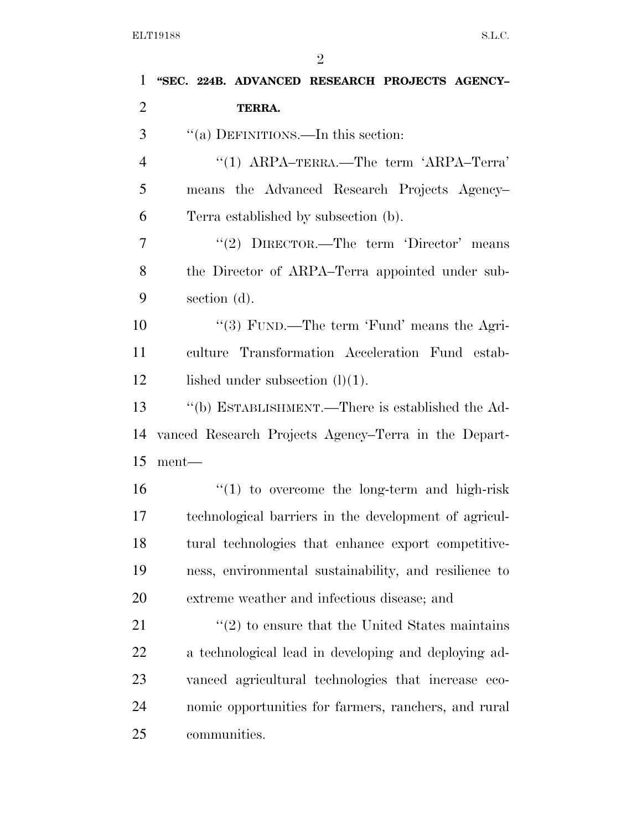| $\mathbf{1}$   | "SEC. 224B. ADVANCED RESEARCH PROJECTS AGENCY-                  |
|----------------|-----------------------------------------------------------------|
| $\overline{2}$ | TERRA.                                                          |
| 3              | "(a) DEFINITIONS.—In this section:                              |
| $\overline{4}$ | "(1) $ARPA-TERRA$ .—The term 'ARPA-Terra'                       |
| 5              | means the Advanced Research Projects Agency-                    |
| 6              | Terra established by subsection (b).                            |
| $\overline{7}$ | "(2) DIRECTOR.—The term 'Director' means                        |
| 8              | the Director of ARPA-Terra appointed under sub-                 |
| 9              | section (d).                                                    |
| 10             | "(3) FUND.—The term 'Fund' means the Agri-                      |
| 11             | culture Transformation Acceleration Fund estab-                 |
| 12             | lished under subsection $(l)(1)$ .                              |
| 13             | "(b) ESTABLISHMENT.—There is established the Ad-                |
| 14             | vanced Research Projects Agency–Terra in the Depart-            |
| 15             | $ment$ —                                                        |
| 16             | $\cdot$ (1) to overcome the long-term and high-risk             |
| 17             | technological barriers in the development of agricul-           |
| 18             | tural technologies that enhance export competitive-             |
| 19             | ness, environmental sustainability, and resilience to           |
| 20             | extreme weather and infectious disease; and                     |
| 21             | $\cdot\cdot\cdot(2)$ to ensure that the United States maintains |
| 22             | a technological lead in developing and deploying ad-            |
| 23             | vanced agricultural technologies that increase eco-             |
| 24             | nomic opportunities for farmers, ranchers, and rural            |
| 25             | communities.                                                    |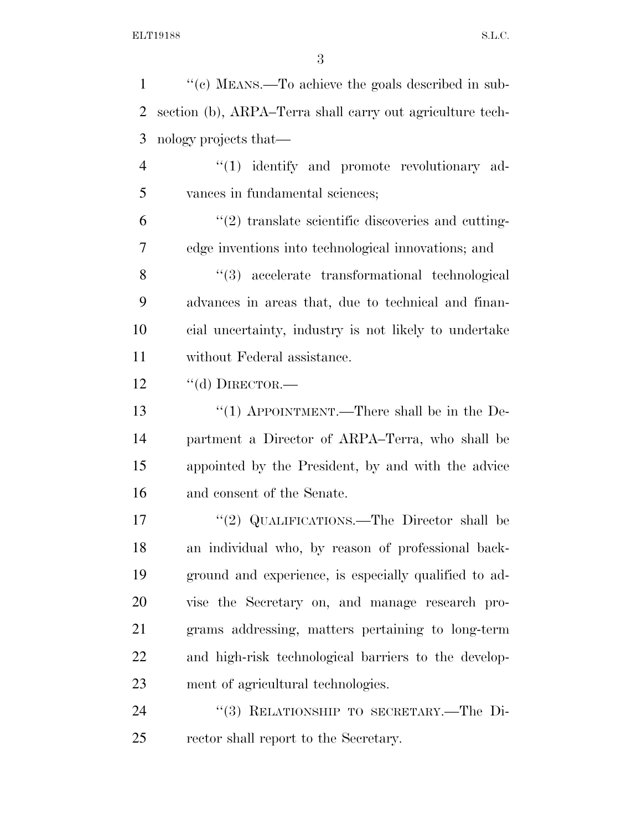''(c) MEANS.—To achieve the goals described in sub- section (b), ARPA–Terra shall carry out agriculture tech- nology projects that— 4 "(1) identify and promote revolutionary ad- vances in fundamental sciences;  $(2)$  translate scientific discoveries and cutting- edge inventions into technological innovations; and ''(3) accelerate transformational technological advances in areas that, due to technical and finan- cial uncertainty, industry is not likely to undertake without Federal assistance. 12 "(d) DIRECTOR.— 13 "(1) APPOINTMENT.—There shall be in the De- partment a Director of ARPA–Terra, who shall be appointed by the President, by and with the advice and consent of the Senate. 17 "(2) QUALIFICATIONS.—The Director shall be an individual who, by reason of professional back- ground and experience, is especially qualified to ad- vise the Secretary on, and manage research pro- grams addressing, matters pertaining to long-term and high-risk technological barriers to the develop-ment of agricultural technologies.

24 "(3) RELATIONSHIP TO SECRETARY.—The Di-rector shall report to the Secretary.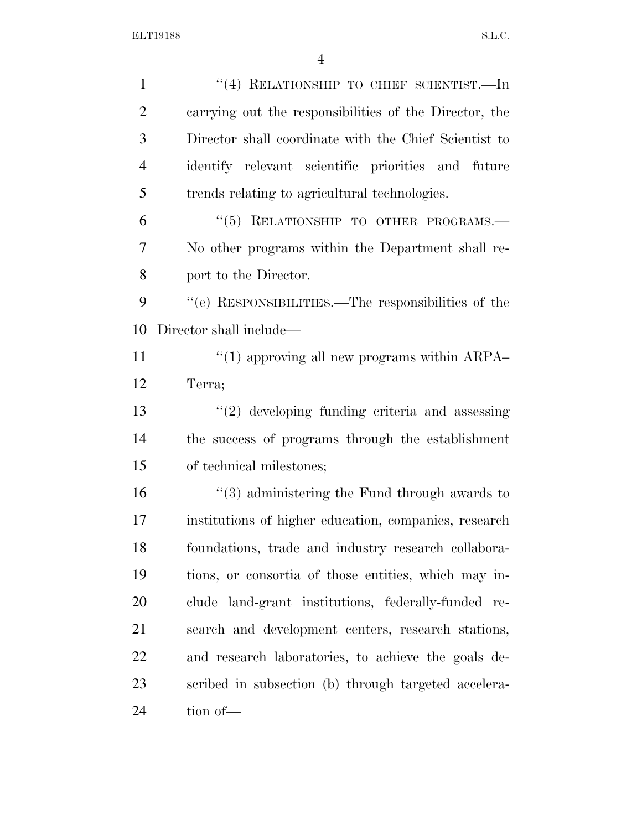| $\mathbf{1}$   | "(4) RELATIONSHIP TO CHIEF SCIENTIST.—In                     |
|----------------|--------------------------------------------------------------|
| $\overline{2}$ | carrying out the responsibilities of the Director, the       |
| 3              | Director shall coordinate with the Chief Scientist to        |
| $\overline{4}$ | identify relevant scientific priorities and future           |
| 5              | trends relating to agricultural technologies.                |
| 6              | "(5) RELATIONSHIP TO OTHER PROGRAMS.-                        |
| 7              | No other programs within the Department shall re-            |
| 8              | port to the Director.                                        |
| 9              | "(e) RESPONSIBILITIES.—The responsibilities of the           |
| 10             | Director shall include—                                      |
| 11             | $\cdot\cdot\cdot(1)$ approving all new programs within ARPA- |
| 12             | Terra;                                                       |
| 13             | $\lq(2)$ developing funding criteria and assessing           |
| 14             | the success of programs through the establishment            |
| 15             | of technical milestones;                                     |
| 16             | $\cdot\cdot$ (3) administering the Fund through awards to    |
| 17             | institutions of higher education, companies, research        |
| 18             | foundations, trade and industry research collabora-          |
| 19             | tions, or consortia of those entities, which may in-         |
| 20             | clude land-grant institutions, federally-funded re-          |
| 21             | search and development centers, research stations,           |
| 22             | and research laboratories, to achieve the goals de-          |
| 23             | scribed in subsection (b) through targeted accelera-         |
| 24             | tion of-                                                     |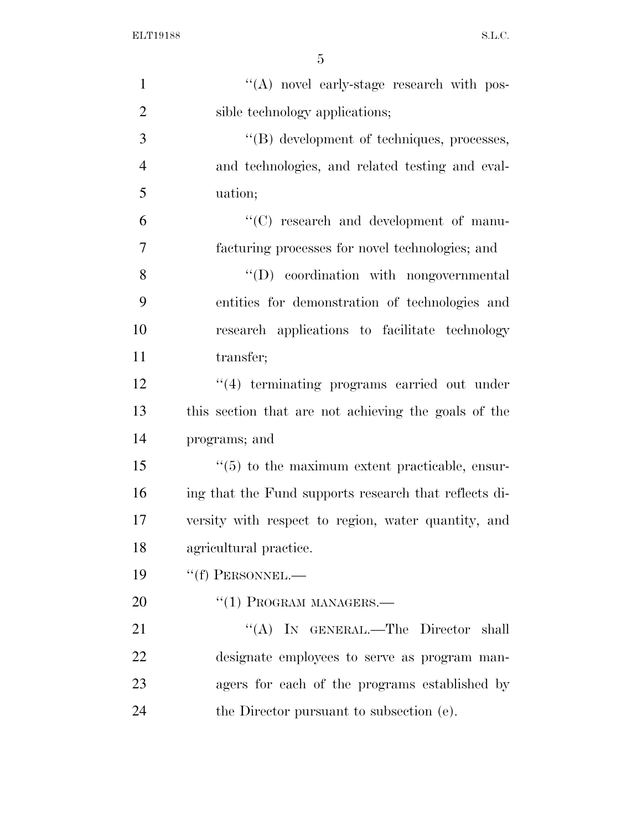| $\mathbf{1}$   | "(A) novel early-stage research with pos-             |
|----------------|-------------------------------------------------------|
| $\overline{2}$ | sible technology applications;                        |
| 3              | "(B) development of techniques, processes,            |
| $\overline{4}$ | and technologies, and related testing and eval-       |
| 5              | uation;                                               |
| 6              | "(C) research and development of manu-                |
| 7              | facturing processes for novel technologies; and       |
| 8              | "(D) coordination with nongovernmental                |
| 9              | entities for demonstration of technologies and        |
| 10             | research applications to facilitate technology        |
| 11             | transfer;                                             |
| 12             | $\cdot$ (4) terminating programs carried out under    |
| 13             | this section that are not achieving the goals of the  |
| 14             | programs; and                                         |
| 15             | $\lq(5)$ to the maximum extent practicable, ensur-    |
| 16             | ing that the Fund supports research that reflects di- |
| 17             | versity with respect to region, water quantity, and   |
| 18             | agricultural practice.                                |
| 19             | $``(f)$ PERSONNEL.—                                   |
| 20             | $``(1)$ PROGRAM MANAGERS.—                            |
| 21             | "(A) IN GENERAL.—The Director shall                   |
| 22             | designate employees to serve as program man-          |
| 23             | agers for each of the programs established by         |
| 24             | the Director pursuant to subsection (e).              |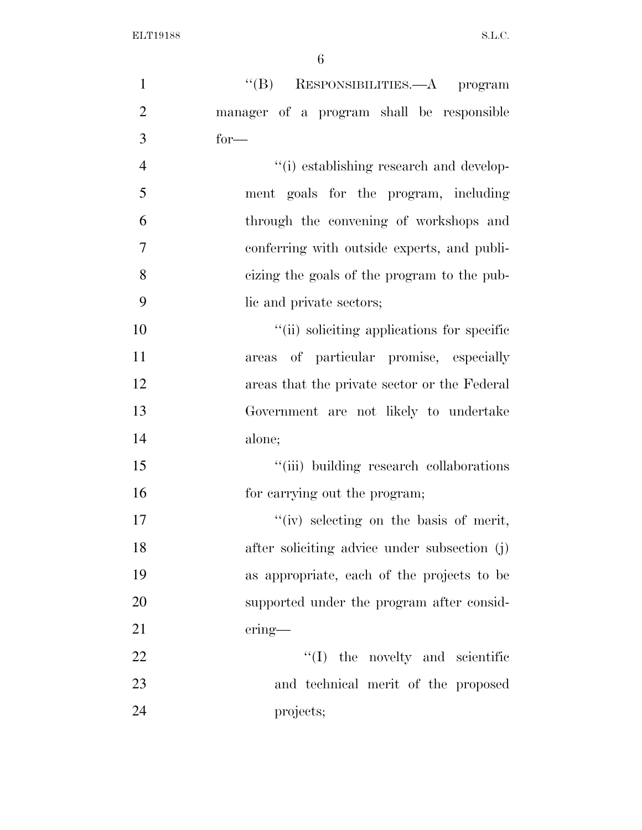| $\mathbf{1}$   | "(B) RESPONSIBILITIES.—A program             |
|----------------|----------------------------------------------|
| $\overline{2}$ | manager of a program shall be responsible    |
| 3              | $for-$                                       |
| $\overline{4}$ | "(i) establishing research and develop-      |
| 5              | ment goals for the program, including        |
| 6              | through the convening of workshops and       |
| $\tau$         | conferring with outside experts, and publi-  |
| 8              | eizing the goals of the program to the pub-  |
| 9              | lic and private sectors;                     |
| 10             | "(ii) soliciting applications for specific   |
| 11             | areas of particular promise, especially      |
| 12             | areas that the private sector or the Federal |
| 13             | Government are not likely to undertake       |
| 14             | alone;                                       |
| 15             | "(iii) building research collaborations      |
| 16             | for carrying out the program;                |
| 17             | "(iv) selecting on the basis of merit,       |
| 18             | after soliciting advice under subsection (j) |
| 19             | as appropriate, each of the projects to be   |
| 20             | supported under the program after consid-    |
| 21             | $ering$ —                                    |
| 22             | $\lq\lq$ (I) the novelty and scientific      |
| 23             | and technical merit of the proposed          |
| 24             | projects;                                    |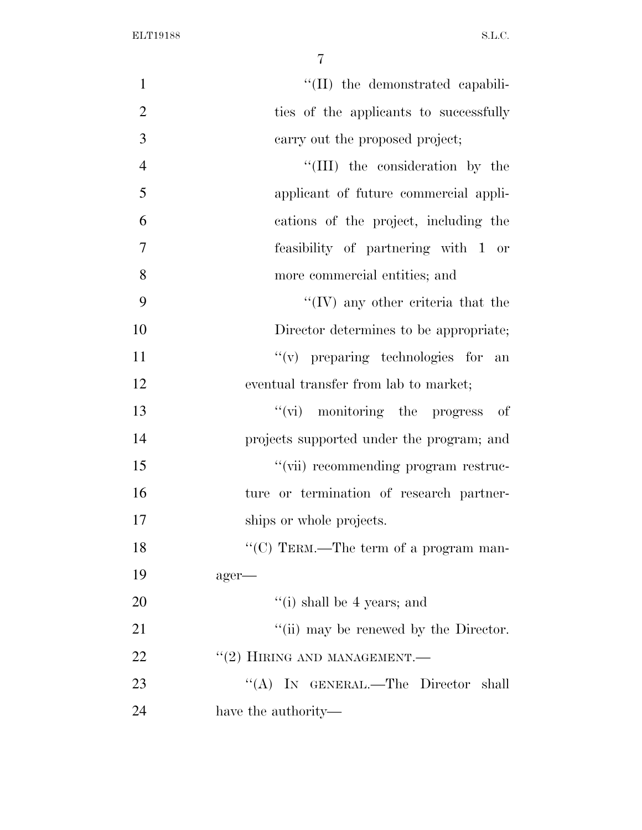| $\mathbf{1}$   | "(II) the demonstrated capabili-          |
|----------------|-------------------------------------------|
| $\overline{2}$ | ties of the applicants to successfully    |
| 3              | carry out the proposed project;           |
| $\overline{4}$ | "(III) the consideration by the           |
| 5              | applicant of future commercial appli-     |
| 6              | cations of the project, including the     |
| $\overline{7}$ | feasibility of partnering with 1 or       |
| 8              | more commercial entities; and             |
| 9              | $\lq\lq$ (IV) any other criteria that the |
| 10             | Director determines to be appropriate;    |
| 11             | $f'(v)$ preparing technologies for<br>an  |
| 12             | eventual transfer from lab to market;     |
| 13             | $\lq\lq$ monitoring the progress of       |
| 14             | projects supported under the program; and |
| 15             | "(vii) recommending program restruc-      |
| 16             | ture or termination of research partner-  |
| 17             | ships or whole projects.                  |
| 18             | "(C) TERM.—The term of a program man-     |
| 19             | ager-                                     |
| 20             | $f(i)$ shall be 4 years; and              |
| 21             | "(ii) may be renewed by the Director.     |
| 22             | $``(2)$ HIRING AND MANAGEMENT.—           |
| 23             | "(A) IN GENERAL.—The Director shall       |
| 24             | have the authority—                       |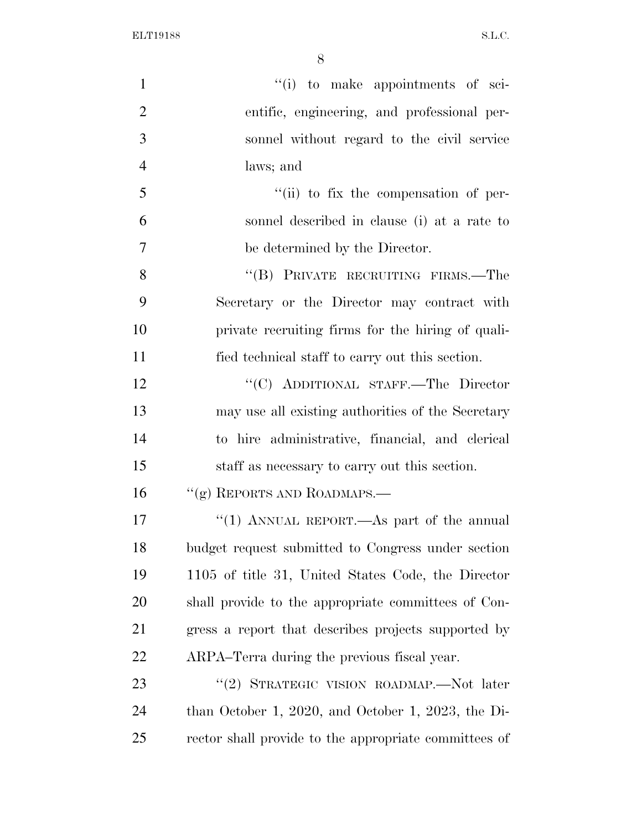| $\mathbf{1}$   | "(i) to make appointments of sci-                     |
|----------------|-------------------------------------------------------|
| $\overline{2}$ | entific, engineering, and professional per-           |
| 3              | sonnel without regard to the civil service            |
| $\overline{4}$ | laws; and                                             |
| 5              | "(ii) to fix the compensation of per-                 |
| 6              | sonnel described in clause (i) at a rate to           |
| $\overline{7}$ | be determined by the Director.                        |
| 8              | "(B) PRIVATE RECRUITING FIRMS.—The                    |
| 9              | Secretary or the Director may contract with           |
| 10             | private recruiting firms for the hiring of quali-     |
| 11             | fied technical staff to carry out this section.       |
| 12             | "(C) ADDITIONAL STAFF.—The Director                   |
| 13             | may use all existing authorities of the Secretary     |
| 14             | to hire administrative, financial, and clerical       |
| 15             | staff as necessary to carry out this section.         |
| 16             | $``(g)$ REPORTS AND ROADMAPS.—                        |
| 17             | "(1) ANNUAL REPORT.—As part of the annual             |
| 18             | budget request submitted to Congress under section    |
| 19             | 1105 of title 31, United States Code, the Director    |
| 20             | shall provide to the appropriate committees of Con-   |
| 21             | gress a report that describes projects supported by   |
| 22             | ARPA-Terra during the previous fiscal year.           |
| 23             | "(2) STRATEGIC VISION ROADMAP.—Not later              |
| 24             | than October 1, 2020, and October 1, 2023, the Di-    |
| 25             | rector shall provide to the appropriate committees of |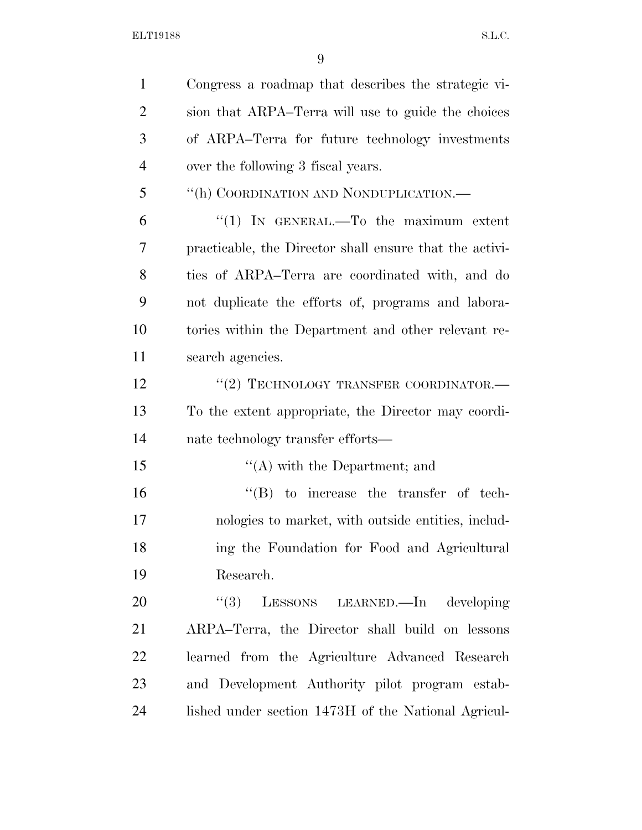| $\mathbf{1}$   | Congress a roadmap that describes the strategic vi-     |
|----------------|---------------------------------------------------------|
| $\overline{2}$ | sion that ARPA–Terra will use to guide the choices      |
| 3              | of ARPA-Terra for future technology investments         |
| $\overline{4}$ | over the following 3 fiscal years.                      |
| 5              | "(h) COORDINATION AND NONDUPLICATION.—                  |
| 6              | "(1) IN GENERAL.—To the maximum extent                  |
| 7              | practicable, the Director shall ensure that the activi- |
| 8              | ties of ARPA-Terra are coordinated with, and do         |
| 9              | not duplicate the efforts of, programs and labora-      |
| 10             | tories within the Department and other relevant re-     |
| 11             | search agencies.                                        |
| 12             | $``(2)$ TECHNOLOGY TRANSFER COORDINATOR.—               |
| 13             | To the extent appropriate, the Director may coordi-     |
| 14             | nate technology transfer efforts—                       |
| 15             | $\lq\lq$ with the Department; and                       |
| 16             | $\lq\lq (B)$ to increase the transfer of tech-          |
| 17             | nologies to market, with outside entities, includ-      |
| 18             | ing the Foundation for Food and Agricultural            |
| 19             | Research.                                               |
| 20             | (3)<br>LESSONS LEARNED.—In developing                   |
| 21             | ARPA-Terra, the Director shall build on lessons         |
| 22             | learned from the Agriculture Advanced Research          |
| 23             | and Development Authority pilot program estab-          |
| 24             | lished under section 1473H of the National Agricul-     |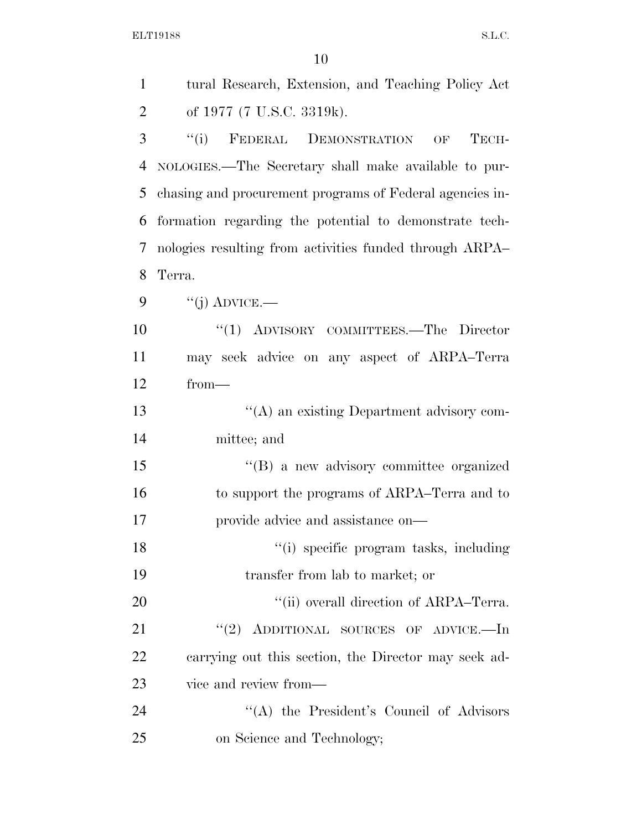| $\mathbf{1}$   | tural Research, Extension, and Teaching Policy Act       |
|----------------|----------------------------------------------------------|
| $\overline{2}$ | of 1977 (7 U.S.C. 3319k).                                |
| 3              | ``(i)<br>FEDERAL DEMONSTRATION OF<br>TECH-               |
| $\overline{4}$ | NOLOGIES.—The Secretary shall make available to pur-     |
| 5              | chasing and procurement programs of Federal agencies in- |
| 6              | formation regarding the potential to demonstrate tech-   |
| 7              | nologies resulting from activities funded through ARPA   |
| 8              | Terra.                                                   |
| 9              | $``(j)$ ADVICE.—                                         |
| 10             | "(1) ADVISORY COMMITTEES.—The Director                   |
| 11             | may seek advice on any aspect of ARPA-Terra              |
| 12             | $from-$                                                  |
| 13             | "(A) an existing Department advisory com-                |
| 14             | mittee; and                                              |
| 15             | $\lq\lq (B)$ a new advisory committee organized          |
| 16             | to support the programs of ARPA–Terra and to             |
| 17             | provide advice and assistance on—                        |
| 18             | "(i) specific program tasks, including                   |
| 19             | transfer from lab to market; or                          |
| 20             | "(ii) overall direction of ARPA-Terra.                   |
| 21             | "(2) ADDITIONAL SOURCES OF ADVICE.—In                    |
| 22             | carrying out this section, the Director may seek ad-     |
| 23             | vice and review from—                                    |
| 24             | "(A) the President's Council of Advisors                 |
| 25             | on Science and Technology;                               |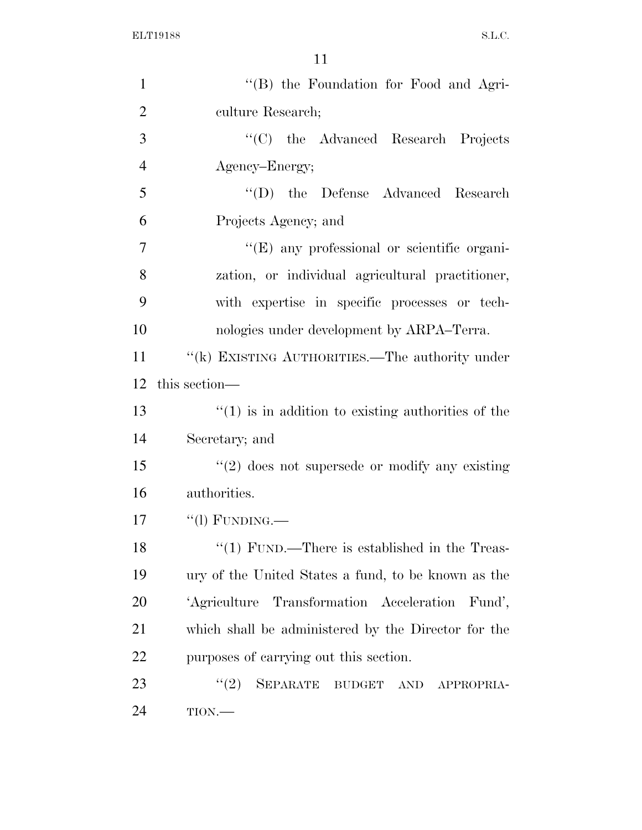| $\mathbf{1}$   | "(B) the Foundation for Food and Agri-                              |
|----------------|---------------------------------------------------------------------|
| $\overline{2}$ | culture Research;                                                   |
| 3              | "(C) the Advanced Research Projects                                 |
| $\overline{4}$ | Agency-Energy;                                                      |
| 5              | "(D) the Defense Advanced Research                                  |
| 6              | Projects Agency; and                                                |
| $\overline{7}$ | "(E) any professional or scientific organi-                         |
| 8              | zation, or individual agricultural practitioner,                    |
| 9              | with expertise in specific processes or tech-                       |
| 10             | nologies under development by ARPA–Terra.                           |
| 11             | "(k) EXISTING AUTHORITIES.—The authority under                      |
| 12             | this section—                                                       |
| 13             | $\cdot\cdot(1)$ is in addition to existing authorities of the       |
| 14             | Secretary; and                                                      |
| 15             | $\lq(2)$ does not supersede or modify any existing                  |
| 16             | authorities.                                                        |
| 17             | $``$ (l) FUNDING.—                                                  |
| 18             | " $(1)$ FUND.—There is established in the Treas-                    |
| 19             | ury of the United States a fund, to be known as the                 |
| 20             | 'Agriculture Transformation Acceleration<br>Fund',                  |
| 21             | which shall be administered by the Director for the                 |
| 22             | purposes of carrying out this section.                              |
| 23             | (2)<br><b>SEPARATE</b><br><b>BUDGET</b><br><b>AND</b><br>APPROPRIA- |
| 24             | TION.                                                               |